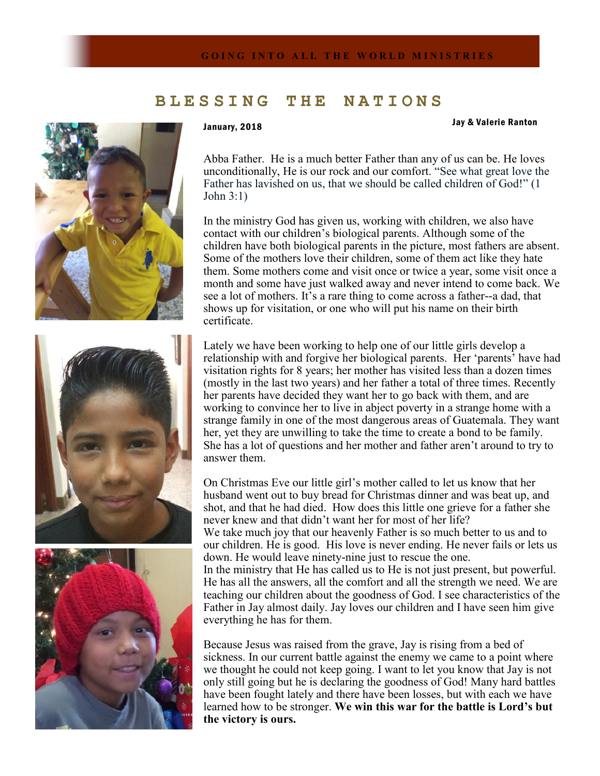## **B L E S S I N G T H E N A T I O N S**







## January, 2018 Jay & Valerie Ranton

Abba Father. He is a much better Father than any of us can be. He loves unconditionally, He is our rock and our comfort. "See what great love the Father has lavished on us, that we should be called children of God!" (1 John 3:1)

In the ministry God has given us, working with children, we also have contact with our children's biological parents. Although some of the children have both biological parents in the picture, most fathers are absent. Some of the mothers love their children, some of them act like they hate them. Some mothers come and visit once or twice a year, some visit once a month and some have just walked away and never intend to come back. We see a lot of mothers. It's a rare thing to come across a father--a dad, that shows up for visitation, or one who will put his name on their birth certificate.

Lately we have been working to help one of our little girls develop a relationship with and forgive her biological parents. Her 'parents' have had visitation rights for 8 years; her mother has visited less than a dozen times (mostly in the last two years) and her father a total of three times. Recently her parents have decided they want her to go back with them, and are working to convince her to live in abject poverty in a strange home with a strange family in one of the most dangerous areas of Guatemala. They want her, yet they are unwilling to take the time to create a bond to be family. She has a lot of questions and her mother and father aren't around to try to answer them.

On Christmas Eve our little girl's mother called to let us know that her husband went out to buy bread for Christmas dinner and was beat up, and shot, and that he had died. How does this little one grieve for a father she never knew and that didn't want her for most of her life? We take much joy that our heavenly Father is so much better to us and to

our children. He is good. His love is never ending. He never fails or lets us down. He would leave ninety-nine just to rescue the one.

In the ministry that He has called us to He is not just present, but powerful. He has all the answers, all the comfort and all the strength we need. We are teaching our children about the goodness of God. I see characteristics of the Father in Jay almost daily. Jay loves our children and I have seen him give everything he has for them.

Because Jesus was raised from the grave, Jay is rising from a bed of sickness. In our current battle against the enemy we came to a point where we thought he could not keep going. I want to let you know that Jay is not only still going but he is declaring the goodness of God! Many hard battles have been fought lately and there have been losses, but with each we have learned how to be stronger. **We win this war for the battle is Lord's but the victory is ours.**